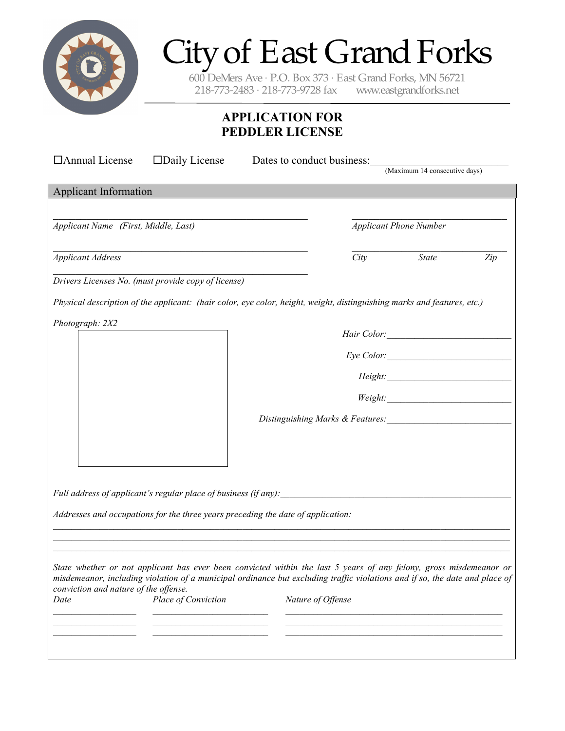

# City of East Grand Forks

600 DeMers Ave · P.O. Box 373 · East Grand Forks, MN 56721 218-773-2483 · 218-773-9728 fax www.eastgrandforks.net

# **APPLICATION FOR PEDDLER LICENSE**

| □ Annual License<br>$\square$ Daily License                                                                                                                                                                                                                                                |  | Dates to conduct business:                                              |                                                                                                                                                                                                                                                                                                                                                                |     |  |
|--------------------------------------------------------------------------------------------------------------------------------------------------------------------------------------------------------------------------------------------------------------------------------------------|--|-------------------------------------------------------------------------|----------------------------------------------------------------------------------------------------------------------------------------------------------------------------------------------------------------------------------------------------------------------------------------------------------------------------------------------------------------|-----|--|
|                                                                                                                                                                                                                                                                                            |  |                                                                         | (Maximum 14 consecutive days)                                                                                                                                                                                                                                                                                                                                  |     |  |
| <b>Applicant Information</b>                                                                                                                                                                                                                                                               |  |                                                                         |                                                                                                                                                                                                                                                                                                                                                                |     |  |
|                                                                                                                                                                                                                                                                                            |  |                                                                         |                                                                                                                                                                                                                                                                                                                                                                |     |  |
| Applicant Name (First, Middle, Last)                                                                                                                                                                                                                                                       |  | <b>Applicant Phone Number</b>                                           |                                                                                                                                                                                                                                                                                                                                                                |     |  |
| <b>Applicant Address</b>                                                                                                                                                                                                                                                                   |  | City                                                                    | <b>State</b>                                                                                                                                                                                                                                                                                                                                                   | Zip |  |
| Drivers Licenses No. (must provide copy of license)                                                                                                                                                                                                                                        |  |                                                                         |                                                                                                                                                                                                                                                                                                                                                                |     |  |
| Physical description of the applicant: (hair color, eye color, height, weight, distinguishing marks and features, etc.)                                                                                                                                                                    |  |                                                                         |                                                                                                                                                                                                                                                                                                                                                                |     |  |
| Photograph: 2X2                                                                                                                                                                                                                                                                            |  |                                                                         |                                                                                                                                                                                                                                                                                                                                                                |     |  |
|                                                                                                                                                                                                                                                                                            |  |                                                                         |                                                                                                                                                                                                                                                                                                                                                                |     |  |
|                                                                                                                                                                                                                                                                                            |  |                                                                         | Height:                                                                                                                                                                                                                                                                                                                                                        |     |  |
|                                                                                                                                                                                                                                                                                            |  |                                                                         | $Weight: \begin{tabular}{ c c c } \hline \rule{0.3cm}{.01cm} \rule{0.3cm}{.01cm} \rule{0.3cm}{.01cm} \rule{0.3cm}{.01cm} \rule{0.3cm}{.01cm} \rule{0.3cm}{.01cm} \rule{0.3cm}{.01cm} \rule{0.3cm}{.01cm} \rule{0.3cm}{.01cm} \rule{0.3cm}{.01cm} \rule{0.3cm}{.01cm} \rule{0.3cm}{.01cm} \rule{0.3cm}{.01cm} \rule{0.3cm}{.01cm} \rule{0.3cm}{.01cm} \rule{0.$ |     |  |
|                                                                                                                                                                                                                                                                                            |  | Distinguishing Marks & Features: 1997 Market Strategy Marks A Features: |                                                                                                                                                                                                                                                                                                                                                                |     |  |
|                                                                                                                                                                                                                                                                                            |  |                                                                         |                                                                                                                                                                                                                                                                                                                                                                |     |  |
|                                                                                                                                                                                                                                                                                            |  |                                                                         |                                                                                                                                                                                                                                                                                                                                                                |     |  |
| Full address of applicant's regular place of business (if any):                                                                                                                                                                                                                            |  |                                                                         |                                                                                                                                                                                                                                                                                                                                                                |     |  |
| Addresses and occupations for the three years preceding the date of application:                                                                                                                                                                                                           |  |                                                                         |                                                                                                                                                                                                                                                                                                                                                                |     |  |
|                                                                                                                                                                                                                                                                                            |  |                                                                         |                                                                                                                                                                                                                                                                                                                                                                |     |  |
|                                                                                                                                                                                                                                                                                            |  |                                                                         |                                                                                                                                                                                                                                                                                                                                                                |     |  |
| State whether or not applicant has ever been convicted within the last 5 years of any felony, gross misdemeanor or<br>misdemeanor, including violation of a municipal ordinance but excluding traffic violations and if so, the date and place of<br>conviction and nature of the offense. |  |                                                                         |                                                                                                                                                                                                                                                                                                                                                                |     |  |
| Place of Conviction<br>Date                                                                                                                                                                                                                                                                |  | Nature of Offense                                                       |                                                                                                                                                                                                                                                                                                                                                                |     |  |
|                                                                                                                                                                                                                                                                                            |  |                                                                         |                                                                                                                                                                                                                                                                                                                                                                |     |  |
|                                                                                                                                                                                                                                                                                            |  |                                                                         |                                                                                                                                                                                                                                                                                                                                                                |     |  |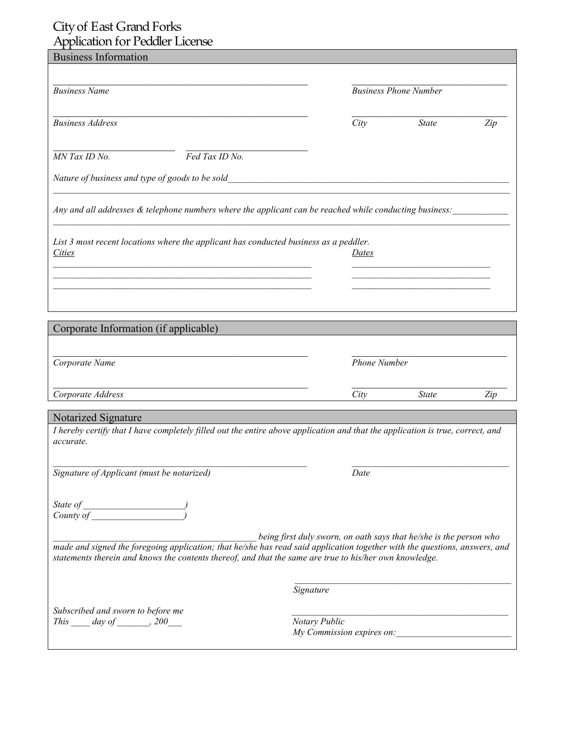| Typheath in Feather Literior                                                                                                                                                                                                          |               |                     |                                                                    |     |
|---------------------------------------------------------------------------------------------------------------------------------------------------------------------------------------------------------------------------------------|---------------|---------------------|--------------------------------------------------------------------|-----|
| <b>Business Information</b>                                                                                                                                                                                                           |               |                     |                                                                    |     |
|                                                                                                                                                                                                                                       |               |                     |                                                                    |     |
|                                                                                                                                                                                                                                       |               |                     |                                                                    |     |
| <b>Business Name</b>                                                                                                                                                                                                                  |               |                     | <b>Business Phone Number</b>                                       |     |
|                                                                                                                                                                                                                                       |               |                     |                                                                    |     |
| <b>Business Address</b>                                                                                                                                                                                                               |               | City                | <b>State</b>                                                       |     |
|                                                                                                                                                                                                                                       |               |                     |                                                                    | Zip |
|                                                                                                                                                                                                                                       |               |                     |                                                                    |     |
| MN Tax ID No.<br>Fed Tax ID No.                                                                                                                                                                                                       |               |                     |                                                                    |     |
|                                                                                                                                                                                                                                       |               |                     |                                                                    |     |
| Nature of business and type of goods to be sold                                                                                                                                                                                       |               |                     |                                                                    |     |
|                                                                                                                                                                                                                                       |               |                     |                                                                    |     |
|                                                                                                                                                                                                                                       |               |                     |                                                                    |     |
| Any and all addresses & telephone numbers where the applicant can be reached while conducting business:                                                                                                                               |               |                     |                                                                    |     |
|                                                                                                                                                                                                                                       |               |                     |                                                                    |     |
| List 3 most recent locations where the applicant has conducted business as a peddler.                                                                                                                                                 |               |                     |                                                                    |     |
| <i>Cities</i>                                                                                                                                                                                                                         |               | Dates               |                                                                    |     |
|                                                                                                                                                                                                                                       |               |                     |                                                                    |     |
|                                                                                                                                                                                                                                       |               |                     |                                                                    |     |
|                                                                                                                                                                                                                                       |               |                     |                                                                    |     |
|                                                                                                                                                                                                                                       |               |                     |                                                                    |     |
|                                                                                                                                                                                                                                       |               |                     |                                                                    |     |
|                                                                                                                                                                                                                                       |               |                     |                                                                    |     |
| Corporate Information (if applicable)                                                                                                                                                                                                 |               |                     |                                                                    |     |
|                                                                                                                                                                                                                                       |               |                     |                                                                    |     |
| Corporate Name                                                                                                                                                                                                                        |               | <b>Phone Number</b> |                                                                    |     |
|                                                                                                                                                                                                                                       |               |                     |                                                                    |     |
|                                                                                                                                                                                                                                       |               |                     |                                                                    |     |
| Corporate Address                                                                                                                                                                                                                     |               | City                | <b>State</b>                                                       | Zip |
|                                                                                                                                                                                                                                       |               |                     |                                                                    |     |
| Notarized Signature                                                                                                                                                                                                                   |               |                     |                                                                    |     |
| I hereby certify that I have completely filled out the entire above application and that the application is true, correct, and                                                                                                        |               |                     |                                                                    |     |
| accurate.                                                                                                                                                                                                                             |               |                     |                                                                    |     |
|                                                                                                                                                                                                                                       |               |                     |                                                                    |     |
| Signature of Applicant (must be notarized)                                                                                                                                                                                            |               | Date                |                                                                    |     |
|                                                                                                                                                                                                                                       |               |                     |                                                                    |     |
|                                                                                                                                                                                                                                       |               |                     |                                                                    |     |
|                                                                                                                                                                                                                                       |               |                     |                                                                    |     |
|                                                                                                                                                                                                                                       |               |                     |                                                                    |     |
|                                                                                                                                                                                                                                       |               |                     |                                                                    |     |
|                                                                                                                                                                                                                                       |               |                     | being first duly sworn, on oath says that he/she is the person who |     |
| made and signed the foregoing application; that he/she has read said application together with the questions, answers, and<br>statements therein and knows the contents thereof, and that the same are true to his/her own knowledge. |               |                     |                                                                    |     |
|                                                                                                                                                                                                                                       |               |                     |                                                                    |     |
|                                                                                                                                                                                                                                       |               |                     |                                                                    |     |
|                                                                                                                                                                                                                                       | Signature     |                     |                                                                    |     |
|                                                                                                                                                                                                                                       |               |                     |                                                                    |     |
| Subscribed and sworn to before me                                                                                                                                                                                                     |               |                     |                                                                    |     |
| This _____ day of ________, 200_____                                                                                                                                                                                                  | Notary Public |                     |                                                                    |     |
|                                                                                                                                                                                                                                       |               |                     | My Commission expires on:                                          |     |
|                                                                                                                                                                                                                                       |               |                     |                                                                    |     |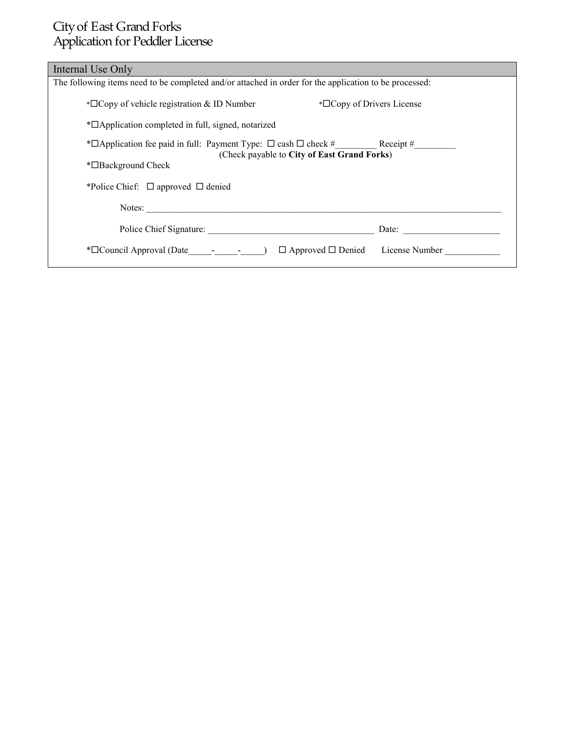| Internal Use Only                                                                                      |
|--------------------------------------------------------------------------------------------------------|
| The following items need to be completed and/or attached in order for the application to be processed: |
| $*\Box$ Copy of Drivers License<br>$\triangle$ Copy of vehicle registration & ID Number                |
| * <sup>D</sup> Application completed in full, signed, notarized                                        |
| (Check payable to City of East Grand Forks)                                                            |
| *□Background Check                                                                                     |
| *Police Chief: $\Box$ approved $\Box$ denied                                                           |
| Notes:                                                                                                 |
| Police Chief Signature:<br>Date: $\qquad \qquad$                                                       |
| $*\Box$ Council Approval (Date - - - )<br>$\Box$ Approved $\Box$ Denied License Number                 |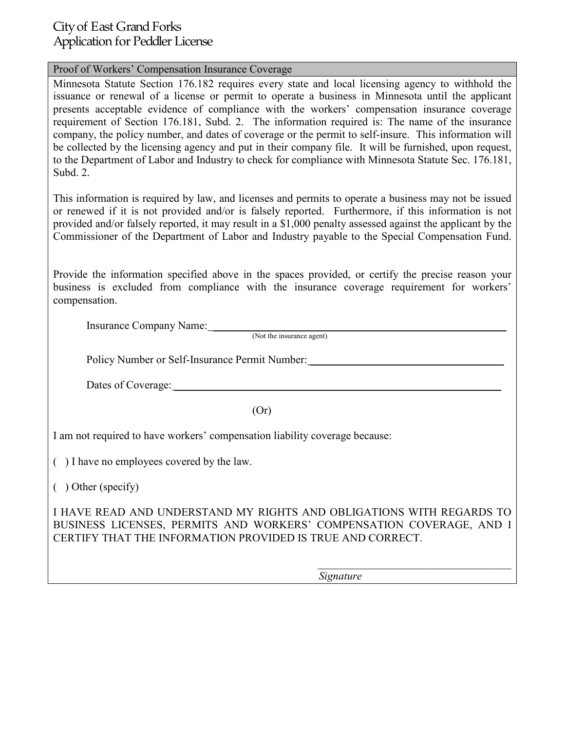#### Proof of Workers' Compensation Insurance Coverage

Minnesota Statute Section 176.182 requires every state and local licensing agency to withhold the issuance or renewal of a license or permit to operate a business in Minnesota until the applicant presents acceptable evidence of compliance with the workers' compensation insurance coverage requirement of Section 176.181, Subd. 2. The information required is: The name of the insurance company, the policy number, and dates of coverage or the permit to self-insure. This information will be collected by the licensing agency and put in their company file. It will be furnished, upon request, to the Department of Labor and Industry to check for compliance with Minnesota Statute Sec. 176.181, Subd. 2.

This information is required by law, and licenses and permits to operate a business may not be issued or renewed if it is not provided and/or is falsely reported. Furthermore, if this information is not provided and/or falsely reported, it may result in a \$1,000 penalty assessed against the applicant by the Commissioner of the Department of Labor and Industry payable to the Special Compensation Fund.

Provide the information specified above in the spaces provided, or certify the precise reason your business is excluded from compliance with the insurance coverage requirement for workers' compensation.

Insurance Company Name: \_\_\_\_\_\_\_\_\_\_\_\_\_\_\_\_\_\_\_\_\_\_\_\_\_\_\_\_\_\_\_\_\_\_\_\_\_\_\_\_\_\_\_\_\_\_\_\_\_\_\_\_\_

(Not the insurance agent)

Policy Number or Self-Insurance Permit Number:

Dates of Coverage:

(Or)

I am not required to have workers' compensation liability coverage because:

( ) I have no employees covered by the law.

( ) Other (specify)

I HAVE READ AND UNDERSTAND MY RIGHTS AND OBLIGATIONS WITH REGARDS TO BUSINESS LICENSES, PERMITS AND WORKERS' COMPENSATION COVERAGE, AND I CERTIFY THAT THE INFORMATION PROVIDED IS TRUE AND CORRECT.

*Signature* 

 $\mathcal{L}_\mathcal{L}$  , which is a set of the set of the set of the set of the set of the set of the set of the set of the set of the set of the set of the set of the set of the set of the set of the set of the set of the set of